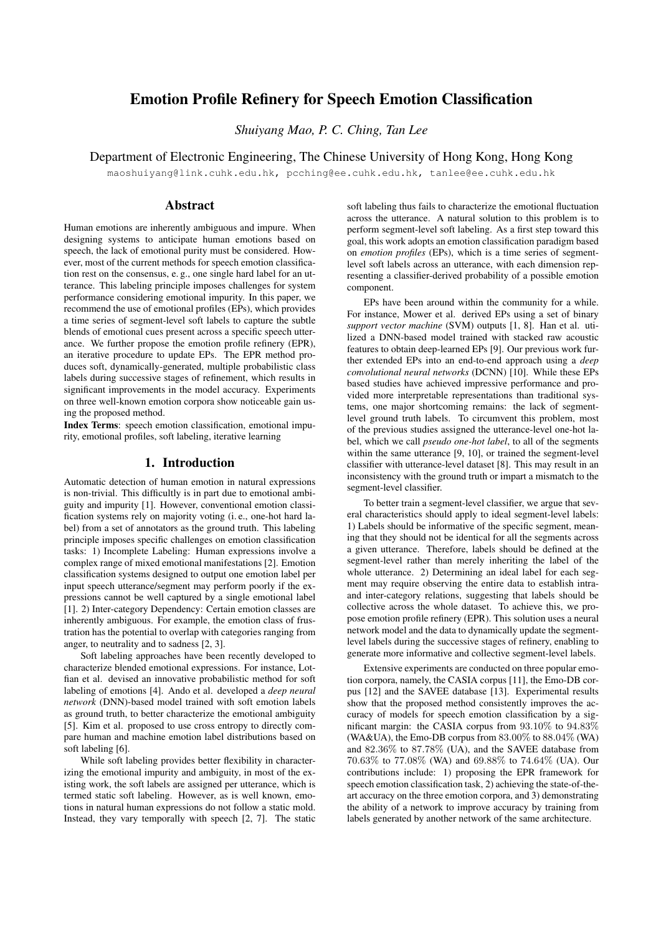# Emotion Profile Refinery for Speech Emotion Classification

*Shuiyang Mao, P. C. Ching, Tan Lee*

Department of Electronic Engineering, The Chinese University of Hong Kong, Hong Kong

maoshuiyang@link.cuhk.edu.hk, pcching@ee.cuhk.edu.hk, tanlee@ee.cuhk.edu.hk

# Abstract

Human emotions are inherently ambiguous and impure. When designing systems to anticipate human emotions based on speech, the lack of emotional purity must be considered. However, most of the current methods for speech emotion classification rest on the consensus, e. g., one single hard label for an utterance. This labeling principle imposes challenges for system performance considering emotional impurity. In this paper, we recommend the use of emotional profiles (EPs), which provides a time series of segment-level soft labels to capture the subtle blends of emotional cues present across a specific speech utterance. We further propose the emotion profile refinery (EPR), an iterative procedure to update EPs. The EPR method produces soft, dynamically-generated, multiple probabilistic class labels during successive stages of refinement, which results in significant improvements in the model accuracy. Experiments on three well-known emotion corpora show noticeable gain using the proposed method.

Index Terms: speech emotion classification, emotional impurity, emotional profiles, soft labeling, iterative learning

# 1. Introduction

Automatic detection of human emotion in natural expressions is non-trivial. This difficultly is in part due to emotional ambiguity and impurity [1]. However, conventional emotion classification systems rely on majority voting (i. e., one-hot hard label) from a set of annotators as the ground truth. This labeling principle imposes specific challenges on emotion classification tasks: 1) Incomplete Labeling: Human expressions involve a complex range of mixed emotional manifestations [2]. Emotion classification systems designed to output one emotion label per input speech utterance/segment may perform poorly if the expressions cannot be well captured by a single emotional label [1]. 2) Inter-category Dependency: Certain emotion classes are inherently ambiguous. For example, the emotion class of frustration has the potential to overlap with categories ranging from anger, to neutrality and to sadness [2, 3].

Soft labeling approaches have been recently developed to characterize blended emotional expressions. For instance, Lotfian et al. devised an innovative probabilistic method for soft labeling of emotions [4]. Ando et al. developed a *deep neural network* (DNN)-based model trained with soft emotion labels as ground truth, to better characterize the emotional ambiguity [5]. Kim et al. proposed to use cross entropy to directly compare human and machine emotion label distributions based on soft labeling [6].

While soft labeling provides better flexibility in characterizing the emotional impurity and ambiguity, in most of the existing work, the soft labels are assigned per utterance, which is termed static soft labeling. However, as is well known, emotions in natural human expressions do not follow a static mold. Instead, they vary temporally with speech [2, 7]. The static

soft labeling thus fails to characterize the emotional fluctuation across the utterance. A natural solution to this problem is to perform segment-level soft labeling. As a first step toward this goal, this work adopts an emotion classification paradigm based on *emotion profiles* (EPs), which is a time series of segmentlevel soft labels across an utterance, with each dimension representing a classifier-derived probability of a possible emotion component.

EPs have been around within the community for a while. For instance, Mower et al. derived EPs using a set of binary *support vector machine* (SVM) outputs [1, 8]. Han et al. utilized a DNN-based model trained with stacked raw acoustic features to obtain deep-learned EPs [9]. Our previous work further extended EPs into an end-to-end approach using a *deep convolutional neural networks* (DCNN) [10]. While these EPs based studies have achieved impressive performance and provided more interpretable representations than traditional systems, one major shortcoming remains: the lack of segmentlevel ground truth labels. To circumvent this problem, most of the previous studies assigned the utterance-level one-hot label, which we call *pseudo one-hot label*, to all of the segments within the same utterance [9, 10], or trained the segment-level classifier with utterance-level dataset [8]. This may result in an inconsistency with the ground truth or impart a mismatch to the segment-level classifier.

To better train a segment-level classifier, we argue that several characteristics should apply to ideal segment-level labels: 1) Labels should be informative of the specific segment, meaning that they should not be identical for all the segments across a given utterance. Therefore, labels should be defined at the segment-level rather than merely inheriting the label of the whole utterance. 2) Determining an ideal label for each segment may require observing the entire data to establish intraand inter-category relations, suggesting that labels should be collective across the whole dataset. To achieve this, we propose emotion profile refinery (EPR). This solution uses a neural network model and the data to dynamically update the segmentlevel labels during the successive stages of refinery, enabling to generate more informative and collective segment-level labels.

Extensive experiments are conducted on three popular emotion corpora, namely, the CASIA corpus [11], the Emo-DB corpus [12] and the SAVEE database [13]. Experimental results show that the proposed method consistently improves the accuracy of models for speech emotion classification by a significant margin: the CASIA corpus from  $93.10\%$  to  $94.83\%$ (WA&UA), the Emo-DB corpus from  $83.00\%$  to  $88.04\%$  (WA) and 82.36% to 87.78% (UA), and the SAVEE database from 70.63% to 77.08% (WA) and 69.88% to 74.64% (UA). Our contributions include: 1) proposing the EPR framework for speech emotion classification task, 2) achieving the state-of-theart accuracy on the three emotion corpora, and 3) demonstrating the ability of a network to improve accuracy by training from labels generated by another network of the same architecture.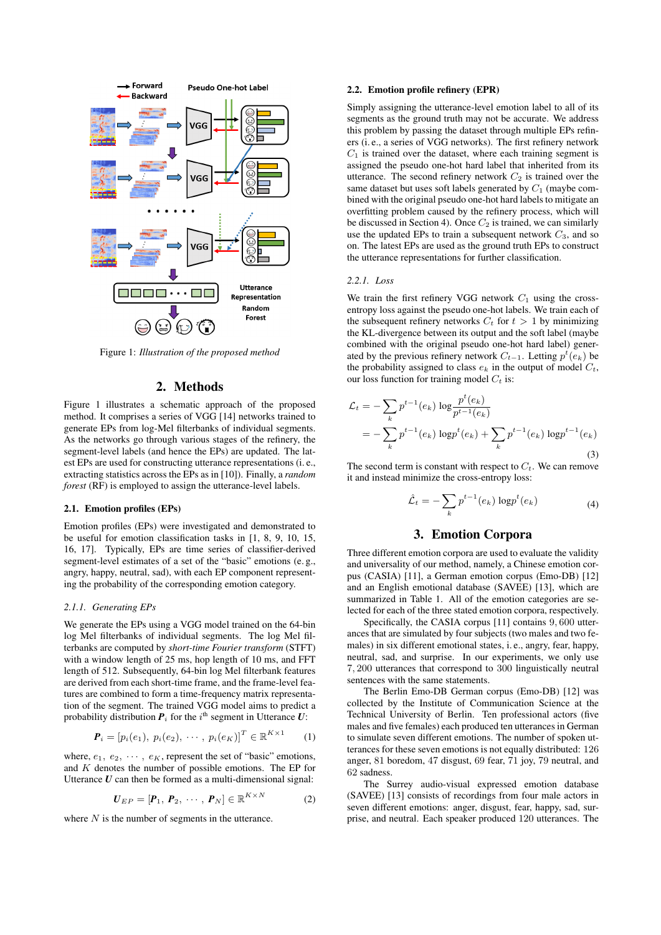

Figure 1: *Illustration of the proposed method*

# 2. Methods

Figure 1 illustrates a schematic approach of the proposed method. It comprises a series of VGG [14] networks trained to generate EPs from log-Mel filterbanks of individual segments. As the networks go through various stages of the refinery, the segment-level labels (and hence the EPs) are updated. The latest EPs are used for constructing utterance representations (i. e., extracting statistics across the EPs as in [10]). Finally, a *random forest* (RF) is employed to assign the utterance-level labels.

### 2.1. Emotion profiles (EPs)

Emotion profiles (EPs) were investigated and demonstrated to be useful for emotion classification tasks in [1, 8, 9, 10, 15, 16, 17]. Typically, EPs are time series of classifier-derived segment-level estimates of a set of the "basic" emotions (e. g., angry, happy, neutral, sad), with each EP component representing the probability of the corresponding emotion category.

#### *2.1.1. Generating EPs*

We generate the EPs using a VGG model trained on the 64-bin log Mel filterbanks of individual segments. The log Mel filterbanks are computed by *short-time Fourier transform* (STFT) with a window length of 25 ms, hop length of 10 ms, and FFT length of 512. Subsequently, 64-bin log Mel filterbank features are derived from each short-time frame, and the frame-level features are combined to form a time-frequency matrix representation of the segment. The trained VGG model aims to predict a probability distribution  $P_i$  for the i<sup>th</sup> segment in Utterance  $U$ :

$$
\bm{P}_i = [p_i(e_1), \ p_i(e_2), \ \cdots, \ p_i(e_K)]^T \in \mathbb{R}^{K \times 1}
$$
 (1)

where,  $e_1, e_2, \cdots, e_K$ , represent the set of "basic" emotions, and  $K$  denotes the number of possible emotions. The EP for Utterance *U* can then be formed as a multi-dimensional signal:

$$
\boldsymbol{U}_{EP} = [\boldsymbol{P}_1, \ \boldsymbol{P}_2, \ \cdots, \ \boldsymbol{P}_N] \in \mathbb{R}^{K \times N} \tag{2}
$$

where  $N$  is the number of segments in the utterance.

### 2.2. Emotion profile refinery (EPR)

Simply assigning the utterance-level emotion label to all of its segments as the ground truth may not be accurate. We address this problem by passing the dataset through multiple EPs refiners (i. e., a series of VGG networks). The first refinery network  $C_1$  is trained over the dataset, where each training segment is assigned the pseudo one-hot hard label that inherited from its utterance. The second refinery network  $C_2$  is trained over the same dataset but uses soft labels generated by  $C_1$  (maybe combined with the original pseudo one-hot hard labels to mitigate an overfitting problem caused by the refinery process, which will be discussed in Section 4). Once  $C_2$  is trained, we can similarly use the updated EPs to train a subsequent network  $C_3$ , and so on. The latest EPs are used as the ground truth EPs to construct the utterance representations for further classification.

#### *2.2.1. Loss*

We train the first refinery VGG network  $C_1$  using the crossentropy loss against the pseudo one-hot labels. We train each of the subsequent refinery networks  $C_t$  for  $t > 1$  by minimizing the KL-divergence between its output and the soft label (maybe combined with the original pseudo one-hot hard label) generated by the previous refinery network  $C_{t-1}$ . Letting  $p^t(e_k)$  be the probability assigned to class  $e_k$  in the output of model  $C_t$ , our loss function for training model  $C_t$  is:

$$
\mathcal{L}_t = -\sum_k p^{t-1}(e_k) \log \frac{p^t(e_k)}{p^{t-1}(e_k)}
$$
  
= 
$$
-\sum_k p^{t-1}(e_k) \log p^t(e_k) + \sum_k p^{t-1}(e_k) \log p^{t-1}(e_k)
$$
 (3)

The second term is constant with respect to  $C_t$ . We can remove it and instead minimize the cross-entropy loss:

$$
\hat{\mathcal{L}}_t = -\sum_k p^{t-1}(e_k) \log p^t(e_k) \tag{4}
$$

# 3. Emotion Corpora

Three different emotion corpora are used to evaluate the validity and universality of our method, namely, a Chinese emotion corpus (CASIA) [11], a German emotion corpus (Emo-DB) [12] and an English emotional database (SAVEE) [13], which are summarized in Table 1. All of the emotion categories are selected for each of the three stated emotion corpora, respectively.

Specifically, the CASIA corpus [11] contains 9, 600 utterances that are simulated by four subjects (two males and two females) in six different emotional states, i. e., angry, fear, happy, neutral, sad, and surprise. In our experiments, we only use 7, 200 utterances that correspond to 300 linguistically neutral sentences with the same statements.

The Berlin Emo-DB German corpus (Emo-DB) [12] was collected by the Institute of Communication Science at the Technical University of Berlin. Ten professional actors (five males and five females) each produced ten utterances in German to simulate seven different emotions. The number of spoken utterances for these seven emotions is not equally distributed: 126 anger, 81 boredom, 47 disgust, 69 fear, 71 joy, 79 neutral, and 62 sadness.

The Surrey audio-visual expressed emotion database (SAVEE) [13] consists of recordings from four male actors in seven different emotions: anger, disgust, fear, happy, sad, surprise, and neutral. Each speaker produced 120 utterances. The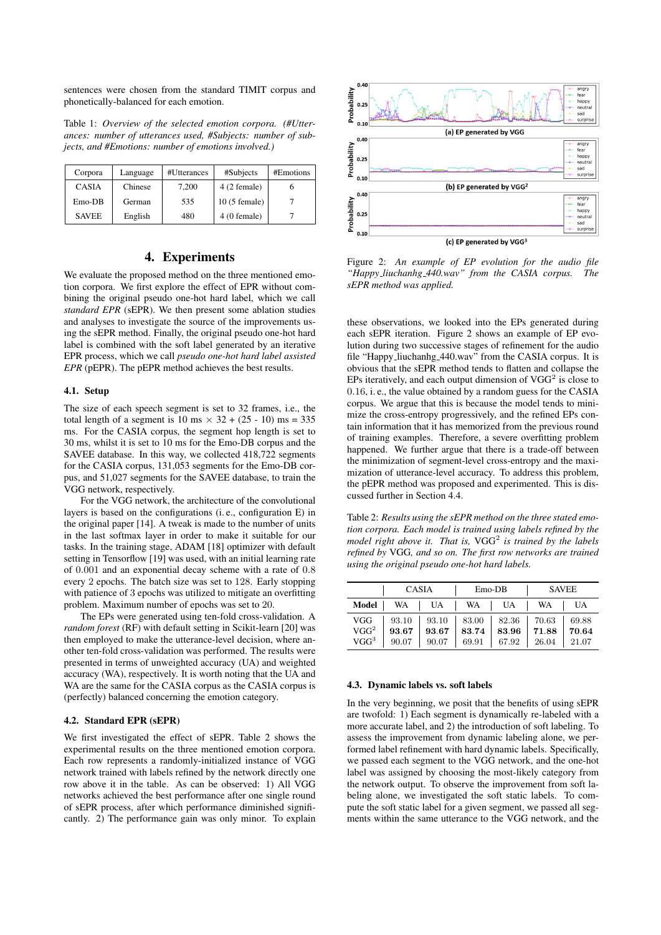sentences were chosen from the standard TIMIT corpus and phonetically-balanced for each emotion.

Table 1: *Overview of the selected emotion corpora. (#Utterances: number of utterances used, #Subjects: number of subjects, and #Emotions: number of emotions involved.)*

| Corpora      | Language | #Utterances | #Subjects      | #Emotions |
|--------------|----------|-------------|----------------|-----------|
| <b>CASIA</b> | Chinese  | 7,200       | $4(2$ female)  |           |
| $E$ mo-DB    | German   | 535         | $10(5$ female) |           |
| <b>SAVEE</b> | English  | 480         | $4(0)$ female) |           |

# 4. Experiments

We evaluate the proposed method on the three mentioned emotion corpora. We first explore the effect of EPR without combining the original pseudo one-hot hard label, which we call *standard EPR* (sEPR). We then present some ablation studies and analyses to investigate the source of the improvements using the sEPR method. Finally, the original pseudo one-hot hard label is combined with the soft label generated by an iterative EPR process, which we call *pseudo one-hot hard label assisted EPR* (pEPR). The pEPR method achieves the best results.

#### 4.1. Setup

The size of each speech segment is set to 32 frames, i.e., the total length of a segment is 10 ms  $\times$  32 + (25 - 10) ms = 335 ms. For the CASIA corpus, the segment hop length is set to 30 ms, whilst it is set to 10 ms for the Emo-DB corpus and the SAVEE database. In this way, we collected 418,722 segments for the CASIA corpus, 131,053 segments for the Emo-DB corpus, and 51,027 segments for the SAVEE database, to train the VGG network, respectively.

For the VGG network, the architecture of the convolutional layers is based on the configurations (i. e., configuration E) in the original paper [14]. A tweak is made to the number of units in the last softmax layer in order to make it suitable for our tasks. In the training stage, ADAM [18] optimizer with default setting in Tensorflow [19] was used, with an initial learning rate of 0.001 and an exponential decay scheme with a rate of 0.8 every 2 epochs. The batch size was set to 128. Early stopping with patience of 3 epochs was utilized to mitigate an overfitting problem. Maximum number of epochs was set to 20.

The EPs were generated using ten-fold cross-validation. A *random forest* (RF) with default setting in Scikit-learn [20] was then employed to make the utterance-level decision, where another ten-fold cross-validation was performed. The results were presented in terms of unweighted accuracy (UA) and weighted accuracy (WA), respectively. It is worth noting that the UA and WA are the same for the CASIA corpus as the CASIA corpus is (perfectly) balanced concerning the emotion category.

#### 4.2. Standard EPR (sEPR)

We first investigated the effect of sEPR. Table 2 shows the experimental results on the three mentioned emotion corpora. Each row represents a randomly-initialized instance of VGG network trained with labels refined by the network directly one row above it in the table. As can be observed: 1) All VGG networks achieved the best performance after one single round of sEPR process, after which performance diminished significantly. 2) The performance gain was only minor. To explain



Figure 2: *An example of EP evolution for the audio file "Happy liuchanhg 440.wav" from the CASIA corpus. The sEPR method was applied.*

these observations, we looked into the EPs generated during each sEPR iteration. Figure 2 shows an example of EP evolution during two successive stages of refinement for the audio file "Happy liuchanhg 440.wav" from the CASIA corpus. It is obvious that the sEPR method tends to flatten and collapse the EPs iteratively, and each output dimension of  $VGG<sup>2</sup>$  is close to 0.16, i. e., the value obtained by a random guess for the CASIA corpus. We argue that this is because the model tends to minimize the cross-entropy progressively, and the refined EPs contain information that it has memorized from the previous round of training examples. Therefore, a severe overfitting problem happened. We further argue that there is a trade-off between the minimization of segment-level cross-entropy and the maximization of utterance-level accuracy. To address this problem, the pEPR method was proposed and experimented. This is discussed further in Section 4.4.

Table 2: *Results using the sEPR method on the three stated emotion corpora. Each model is trained using labels refined by the* model right above it. That is,  $VGG^2$  is trained by the labels *refined by* VGG*, and so on. The first row networks are trained using the original pseudo one-hot hard labels.*

| <b>CASIA</b>     |       |       | $Emo-DB$  | <b>SAVEE</b> |       |       |
|------------------|-------|-------|-----------|--------------|-------|-------|
| Model            | WA    | UA    | <b>WA</b> | UA           | WA    | UA    |
| VGG              | 93.10 | 93.10 | 83.00     | 82.36        | 70.63 | 69.88 |
| VGG <sup>2</sup> | 93.67 | 93.67 | 83.74     | 83.96        | 71.88 | 70.64 |
| $VGG^3$          | 90.07 | 90.07 | 69.91     | 67.92        | 26.04 | 21.07 |

### 4.3. Dynamic labels vs. soft labels

In the very beginning, we posit that the benefits of using sEPR are twofold: 1) Each segment is dynamically re-labeled with a more accurate label, and 2) the introduction of soft labeling. To assess the improvement from dynamic labeling alone, we performed label refinement with hard dynamic labels. Specifically, we passed each segment to the VGG network, and the one-hot label was assigned by choosing the most-likely category from the network output. To observe the improvement from soft labeling alone, we investigated the soft static labels. To compute the soft static label for a given segment, we passed all segments within the same utterance to the VGG network, and the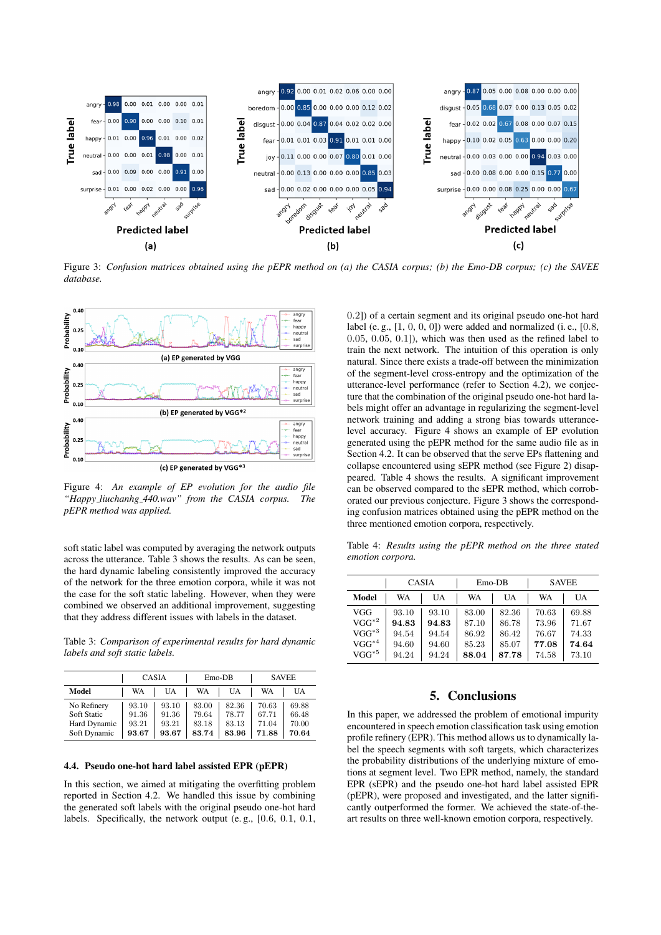

Figure 3: *Confusion matrices obtained using the pEPR method on (a) the CASIA corpus; (b) the Emo-DB corpus; (c) the SAVEE database.*



Figure 4: *An example of EP evolution for the audio file "Happy liuchanhg 440.wav" from the CASIA corpus. The pEPR method was applied.*

soft static label was computed by averaging the network outputs across the utterance. Table 3 shows the results. As can be seen, the hard dynamic labeling consistently improved the accuracy of the network for the three emotion corpora, while it was not the case for the soft static labeling. However, when they were combined we observed an additional improvement, suggesting that they address different issues with labels in the dataset.

Table 3: *Comparison of experimental results for hard dynamic labels and soft static labels.*

|              | <b>CASIA</b> |       |       | $E$ mo-DB |       | <b>SAVEE</b> |  |
|--------------|--------------|-------|-------|-----------|-------|--------------|--|
| Model        | WA           | UA    | WA    | UA        | WA    | UA           |  |
| No Refinery  | 93.10        | 93.10 | 83.00 | 82.36     | 70.63 | 69.88        |  |
| Soft Static  | 91.36        | 91.36 | 79.64 | 78.77     | 67.71 | 66.48        |  |
| Hard Dynamic | 93.21        | 93.21 | 83.18 | 83.13     | 71.04 | 70.00        |  |
| Soft Dynamic | 93.67        | 93.67 | 83.74 | 83.96     | 71.88 | 70.64        |  |

### 4.4. Pseudo one-hot hard label assisted EPR (pEPR)

In this section, we aimed at mitigating the overfitting problem reported in Section 4.2. We handled this issue by combining the generated soft labels with the original pseudo one-hot hard labels. Specifically, the network output (e. g., [0.6, 0.1, 0.1,

0.2]) of a certain segment and its original pseudo one-hot hard label (e. g.,  $[1, 0, 0, 0]$ ) were added and normalized (i. e.,  $[0.8, 0.0]$ ) 0.05, 0.05, 0.1]), which was then used as the refined label to train the next network. The intuition of this operation is only natural. Since there exists a trade-off between the minimization of the segment-level cross-entropy and the optimization of the utterance-level performance (refer to Section 4.2), we conjecture that the combination of the original pseudo one-hot hard labels might offer an advantage in regularizing the segment-level network training and adding a strong bias towards utterancelevel accuracy. Figure 4 shows an example of EP evolution generated using the pEPR method for the same audio file as in Section 4.2. It can be observed that the serve EPs flattening and collapse encountered using sEPR method (see Figure 2) disappeared. Table 4 shows the results. A significant improvement can be observed compared to the sEPR method, which corroborated our previous conjecture. Figure 3 shows the corresponding confusion matrices obtained using the pEPR method on the three mentioned emotion corpora, respectively.

Table 4: *Results using the pEPR method on the three stated emotion corpora.*

|            | CASIA |       | $Emo-DB$ |       | <b>SAVEE</b> |       |
|------------|-------|-------|----------|-------|--------------|-------|
| Model      | WA    | UA    | WA       | UA    | WA           | UA    |
| VGG        | 93.10 | 93.10 | 83.00    | 82.36 | 70.63        | 69.88 |
| $VGG^{*2}$ | 94.83 | 94.83 | 87.10    | 86.78 | 73.96        | 71.67 |
| $VGG^{*3}$ | 94.54 | 94.54 | 86.92    | 86.42 | 76.67        | 74.33 |
| $VGG^{*4}$ | 94.60 | 94.60 | 85.23    | 85.07 | 77.08        | 74.64 |
| $VGG^{*5}$ | 94.24 | 94.24 | 88.04    | 87.78 | 74.58        | 73.10 |

### 5. Conclusions

In this paper, we addressed the problem of emotional impurity encountered in speech emotion classification task using emotion profile refinery (EPR). This method allows us to dynamically label the speech segments with soft targets, which characterizes the probability distributions of the underlying mixture of emotions at segment level. Two EPR method, namely, the standard EPR (sEPR) and the pseudo one-hot hard label assisted EPR (pEPR), were proposed and investigated, and the latter significantly outperformed the former. We achieved the state-of-theart results on three well-known emotion corpora, respectively.